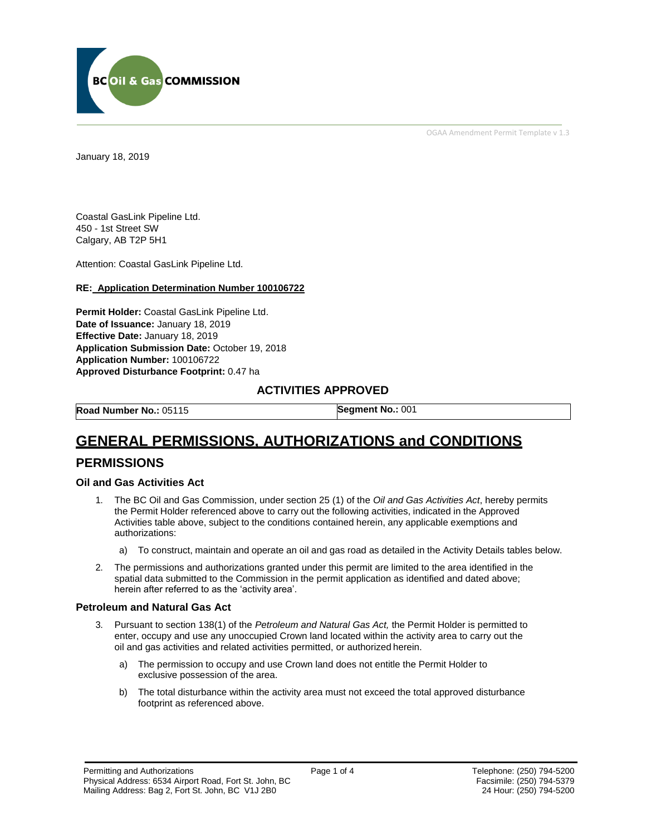

OGAA Amendment Permit Template v 1.3

January 18, 2019

Coastal GasLink Pipeline Ltd. 450 - 1st Street SW Calgary, AB T2P 5H1

Attention: Coastal GasLink Pipeline Ltd.

#### **RE: Application Determination Number 100106722**

**Permit Holder:** Coastal GasLink Pipeline Ltd. **Date of Issuance:** January 18, 2019 **Effective Date:** January 18, 2019 **Application Submission Date:** October 19, 2018 **Application Number:** 100106722 **Approved Disturbance Footprint:** 0.47 ha

### **ACTIVITIES APPROVED**

**Road Number No.:** 05115 **Segment No.:** 001

# **GENERAL PERMISSIONS, AUTHORIZATIONS and CONDITIONS**

## **PERMISSIONS**

#### **Oil and Gas Activities Act**

- 1. The BC Oil and Gas Commission, under section 25 (1) of the *Oil and Gas Activities Act*, hereby permits the Permit Holder referenced above to carry out the following activities, indicated in the Approved Activities table above, subject to the conditions contained herein, any applicable exemptions and authorizations:
	- a) To construct, maintain and operate an oil and gas road as detailed in the Activity Details tables below.
- 2. The permissions and authorizations granted under this permit are limited to the area identified in the spatial data submitted to the Commission in the permit application as identified and dated above; herein after referred to as the 'activity area'.

#### **Petroleum and Natural Gas Act**

- 3. Pursuant to section 138(1) of the *Petroleum and Natural Gas Act,* the Permit Holder is permitted to enter, occupy and use any unoccupied Crown land located within the activity area to carry out the oil and gas activities and related activities permitted, or authorized herein.
	- a) The permission to occupy and use Crown land does not entitle the Permit Holder to exclusive possession of the area.
	- b) The total disturbance within the activity area must not exceed the total approved disturbance footprint as referenced above.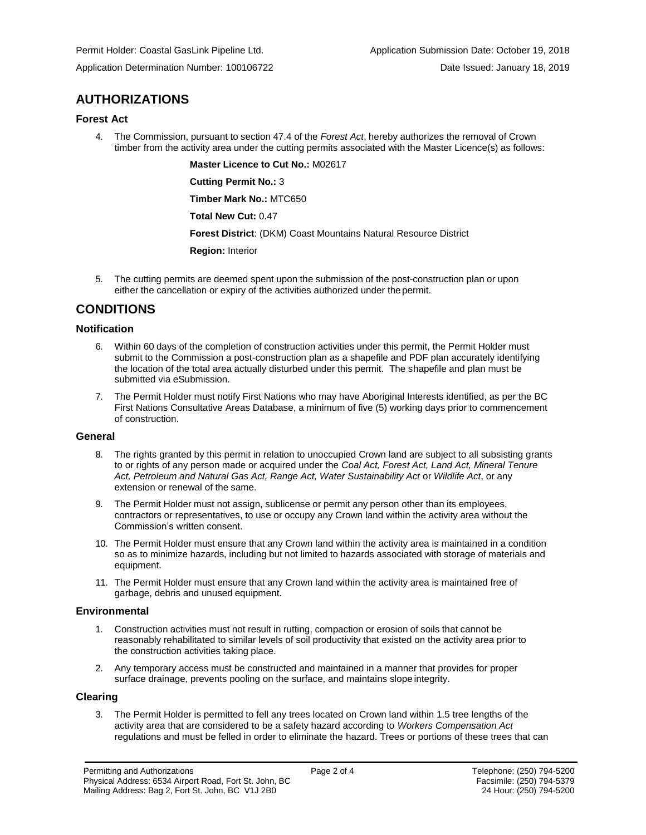## **AUTHORIZATIONS**

### **Forest Act**

4. The Commission, pursuant to section 47.4 of the *Forest Act*, hereby authorizes the removal of Crown timber from the activity area under the cutting permits associated with the Master Licence(s) as follows:

> **Master Licence to Cut No.:** M02617 **Cutting Permit No.:** 3

**Timber Mark No.:** MTC650

**Total New Cut:** 0.47

**Forest District**: (DKM) Coast Mountains Natural Resource District

**Region:** Interior

5. The cutting permits are deemed spent upon the submission of the post-construction plan or upon either the cancellation or expiry of the activities authorized under the permit.

## **CONDITIONS**

### **Notification**

- 6. Within 60 days of the completion of construction activities under this permit, the Permit Holder must submit to the Commission a post-construction plan as a shapefile and PDF plan accurately identifying the location of the total area actually disturbed under this permit. The shapefile and plan must be submitted via eSubmission.
- 7. The Permit Holder must notify First Nations who may have Aboriginal Interests identified, as per the BC First Nations Consultative Areas Database, a minimum of five (5) working days prior to commencement of construction.

#### **General**

- 8. The rights granted by this permit in relation to unoccupied Crown land are subject to all subsisting grants to or rights of any person made or acquired under the *Coal Act, Forest Act, Land Act, Mineral Tenure Act, Petroleum and Natural Gas Act, Range Act, Water Sustainability Act* or *Wildlife Act*, or any extension or renewal of the same.
- 9. The Permit Holder must not assign, sublicense or permit any person other than its employees, contractors or representatives, to use or occupy any Crown land within the activity area without the Commission's written consent.
- 10. The Permit Holder must ensure that any Crown land within the activity area is maintained in a condition so as to minimize hazards, including but not limited to hazards associated with storage of materials and equipment.
- 11. The Permit Holder must ensure that any Crown land within the activity area is maintained free of garbage, debris and unused equipment.

### **Environmental**

- 1. Construction activities must not result in rutting, compaction or erosion of soils that cannot be reasonably rehabilitated to similar levels of soil productivity that existed on the activity area prior to the construction activities taking place.
- 2. Any temporary access must be constructed and maintained in a manner that provides for proper surface drainage, prevents pooling on the surface, and maintains slope integrity.

#### **Clearing**

3. The Permit Holder is permitted to fell any trees located on Crown land within 1.5 tree lengths of the activity area that are considered to be a safety hazard according to *Workers Compensation Act*  regulations and must be felled in order to eliminate the hazard. Trees or portions of these trees that can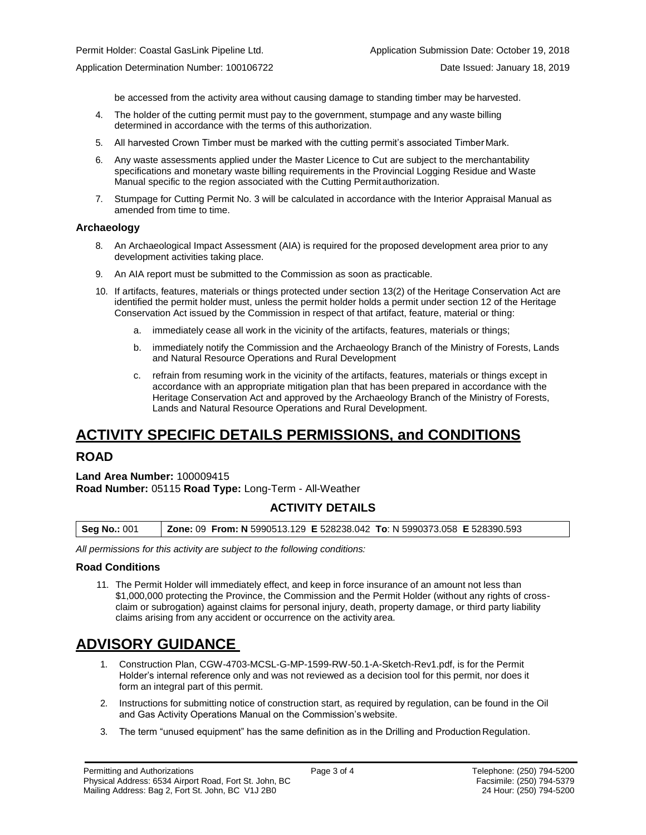be accessed from the activity area without causing damage to standing timber may be harvested.

- 4. The holder of the cutting permit must pay to the government, stumpage and any waste billing determined in accordance with the terms of this authorization.
- 5. All harvested Crown Timber must be marked with the cutting permit's associated Timber Mark.
- 6. Any waste assessments applied under the Master Licence to Cut are subject to the merchantability specifications and monetary waste billing requirements in the Provincial Logging Residue and Waste Manual specific to the region associated with the Cutting Permitauthorization.
- 7. Stumpage for Cutting Permit No. 3 will be calculated in accordance with the Interior Appraisal Manual as amended from time to time.

#### **Archaeology**

- 8. An Archaeological Impact Assessment (AIA) is required for the proposed development area prior to any development activities taking place.
- 9. An AIA report must be submitted to the Commission as soon as practicable.
- 10. If artifacts, features, materials or things protected under section 13(2) of the Heritage Conservation Act are identified the permit holder must, unless the permit holder holds a permit under section 12 of the Heritage Conservation Act issued by the Commission in respect of that artifact, feature, material or thing:
	- a. immediately cease all work in the vicinity of the artifacts, features, materials or things;
	- b. immediately notify the Commission and the Archaeology Branch of the Ministry of Forests, Lands and Natural Resource Operations and Rural Development
	- c. refrain from resuming work in the vicinity of the artifacts, features, materials or things except in accordance with an appropriate mitigation plan that has been prepared in accordance with the Heritage Conservation Act and approved by the Archaeology Branch of the Ministry of Forests, Lands and Natural Resource Operations and Rural Development.

# **ACTIVITY SPECIFIC DETAILS PERMISSIONS, and CONDITIONS**

## **ROAD**

**Land Area Number:** 100009415 **Road Number:** 05115 **Road Type:** Long-Term - All-Weather

## **ACTIVITY DETAILS**

| <b>Zone: 09 From: N</b> 5990513.129 E 528238.042 To: N 5990373.058 E 528390.593<br><b>Seg No.: 001</b> |
|--------------------------------------------------------------------------------------------------------|
|--------------------------------------------------------------------------------------------------------|

*All permissions for this activity are subject to the following conditions:*

#### **Road Conditions**

11. The Permit Holder will immediately effect, and keep in force insurance of an amount not less than \$1,000,000 protecting the Province, the Commission and the Permit Holder (without any rights of crossclaim or subrogation) against claims for personal injury, death, property damage, or third party liability claims arising from any accident or occurrence on the activity area.

# **ADVISORY GUIDANCE**

- 1. Construction Plan, CGW-4703-MCSL-G-MP-1599-RW-50.1-A-Sketch-Rev1.pdf, is for the Permit Holder's internal reference only and was not reviewed as a decision tool for this permit, nor does it form an integral part of this permit.
- 2. Instructions for submitting notice of construction start, as required by regulation, can be found in the Oil and Gas Activity Operations Manual on the Commission's website.
- 3. The term "unused equipment" has the same definition as in the Drilling and ProductionRegulation.